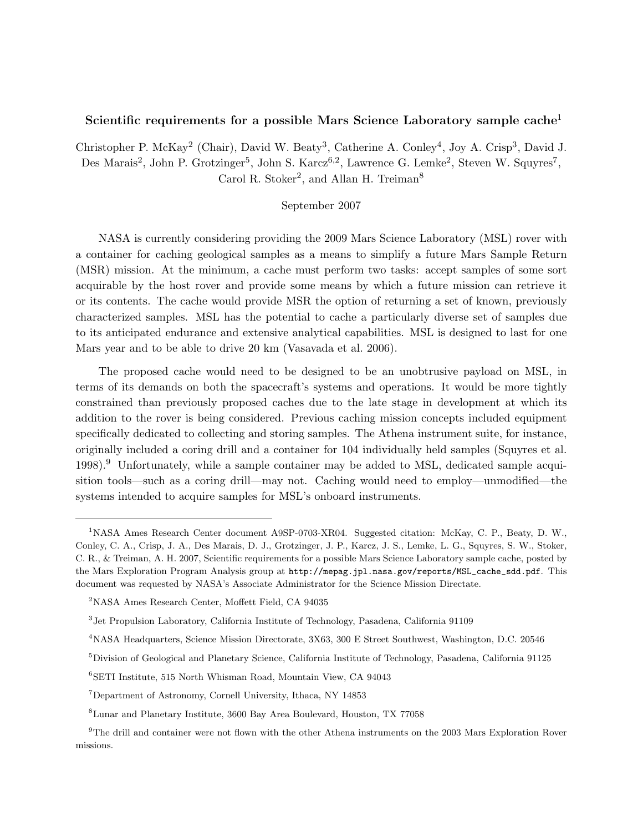# Scientific requirements for a possible Mars Science Laboratory sample cache<sup>1</sup>

Christopher P. McKay<sup>2</sup> (Chair), David W. Beaty<sup>3</sup>, Catherine A. Conley<sup>4</sup>, Joy A. Crisp<sup>3</sup>, David J. Des Marais<sup>2</sup>, John P. Grotzinger<sup>5</sup>, John S. Karcz<sup>6,2</sup>, Lawrence G. Lemke<sup>2</sup>, Steven W. Squyres<sup>7</sup>, Carol R. Stoker<sup>2</sup>, and Allan H. Treiman<sup>8</sup>

## September 2007

NASA is currently considering providing the 2009 Mars Science Laboratory (MSL) rover with a container for caching geological samples as a means to simplify a future Mars Sample Return (MSR) mission. At the minimum, a cache must perform two tasks: accept samples of some sort acquirable by the host rover and provide some means by which a future mission can retrieve it or its contents. The cache would provide MSR the option of returning a set of known, previously characterized samples. MSL has the potential to cache a particularly diverse set of samples due to its anticipated endurance and extensive analytical capabilities. MSL is designed to last for one Mars year and to be able to drive 20 km (Vasavada et al. 2006).

The proposed cache would need to be designed to be an unobtrusive payload on MSL, in terms of its demands on both the spacecraft's systems and operations. It would be more tightly constrained than previously proposed caches due to the late stage in development at which its addition to the rover is being considered. Previous caching mission concepts included equipment specifically dedicated to collecting and storing samples. The Athena instrument suite, for instance, originally included a coring drill and a container for 104 individually held samples (Squyres et al.  $1998$ <sup>9</sup>. Unfortunately, while a sample container may be added to MSL, dedicated sample acquisition tools—such as a coring drill—may not. Caching would need to employ—unmodified—the systems intended to acquire samples for MSL's onboard instruments.

<sup>1</sup>NASA Ames Research Center document A9SP-0703-XR04. Suggested citation: McKay, C. P., Beaty, D. W., Conley, C. A., Crisp, J. A., Des Marais, D. J., Grotzinger, J. P., Karcz, J. S., Lemke, L. G., Squyres, S. W., Stoker, C. R., & Treiman, A. H. 2007, Scientific requirements for a possible Mars Science Laboratory sample cache, posted by the Mars Exploration Program Analysis group at http://mepag.jpl.nasa.gov/reports/MSL\_cache\_sdd.pdf. This document was requested by NASA's Associate Administrator for the Science Mission Directate.

<sup>2</sup>NASA Ames Research Center, Moffett Field, CA 94035

<sup>&</sup>lt;sup>3</sup> Jet Propulsion Laboratory, California Institute of Technology, Pasadena, California 91109

<sup>4</sup>NASA Headquarters, Science Mission Directorate, 3X63, 300 E Street Southwest, Washington, D.C. 20546

<sup>5</sup>Division of Geological and Planetary Science, California Institute of Technology, Pasadena, California 91125

<sup>6</sup>SETI Institute, 515 North Whisman Road, Mountain View, CA 94043

<sup>7</sup>Department of Astronomy, Cornell University, Ithaca, NY 14853

<sup>8</sup>Lunar and Planetary Institute, 3600 Bay Area Boulevard, Houston, TX 77058

<sup>&</sup>lt;sup>9</sup>The drill and container were not flown with the other Athena instruments on the 2003 Mars Exploration Rover missions.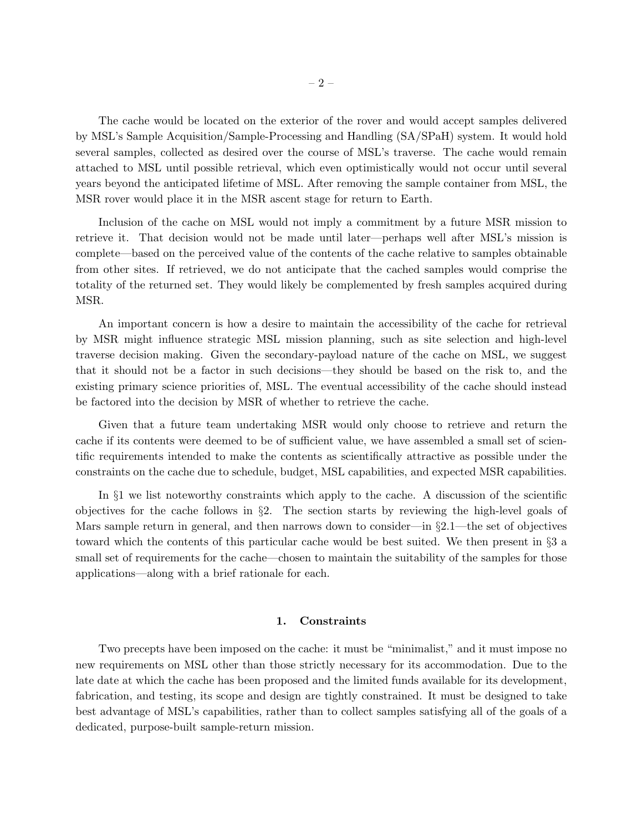The cache would be located on the exterior of the rover and would accept samples delivered by MSL's Sample Acquisition/Sample-Processing and Handling (SA/SPaH) system. It would hold several samples, collected as desired over the course of MSL's traverse. The cache would remain attached to MSL until possible retrieval, which even optimistically would not occur until several years beyond the anticipated lifetime of MSL. After removing the sample container from MSL, the MSR rover would place it in the MSR ascent stage for return to Earth.

Inclusion of the cache on MSL would not imply a commitment by a future MSR mission to retrieve it. That decision would not be made until later—perhaps well after MSL's mission is complete—based on the perceived value of the contents of the cache relative to samples obtainable from other sites. If retrieved, we do not anticipate that the cached samples would comprise the totality of the returned set. They would likely be complemented by fresh samples acquired during MSR.

An important concern is how a desire to maintain the accessibility of the cache for retrieval by MSR might influence strategic MSL mission planning, such as site selection and high-level traverse decision making. Given the secondary-payload nature of the cache on MSL, we suggest that it should not be a factor in such decisions—they should be based on the risk to, and the existing primary science priorities of, MSL. The eventual accessibility of the cache should instead be factored into the decision by MSR of whether to retrieve the cache.

Given that a future team undertaking MSR would only choose to retrieve and return the cache if its contents were deemed to be of sufficient value, we have assembled a small set of scientific requirements intended to make the contents as scientifically attractive as possible under the constraints on the cache due to schedule, budget, MSL capabilities, and expected MSR capabilities.

In §1 we list noteworthy constraints which apply to the cache. A discussion of the scientific objectives for the cache follows in  $\S2$ . The section starts by reviewing the high-level goals of Mars sample return in general, and then narrows down to consider—in  $\S2.1$ —the set of objectives toward which the contents of this particular cache would be best suited. We then present in §3 a small set of requirements for the cache—chosen to maintain the suitability of the samples for those applications—along with a brief rationale for each.

#### 1. Constraints

Two precepts have been imposed on the cache: it must be "minimalist," and it must impose no new requirements on MSL other than those strictly necessary for its accommodation. Due to the late date at which the cache has been proposed and the limited funds available for its development, fabrication, and testing, its scope and design are tightly constrained. It must be designed to take best advantage of MSL's capabilities, rather than to collect samples satisfying all of the goals of a dedicated, purpose-built sample-return mission.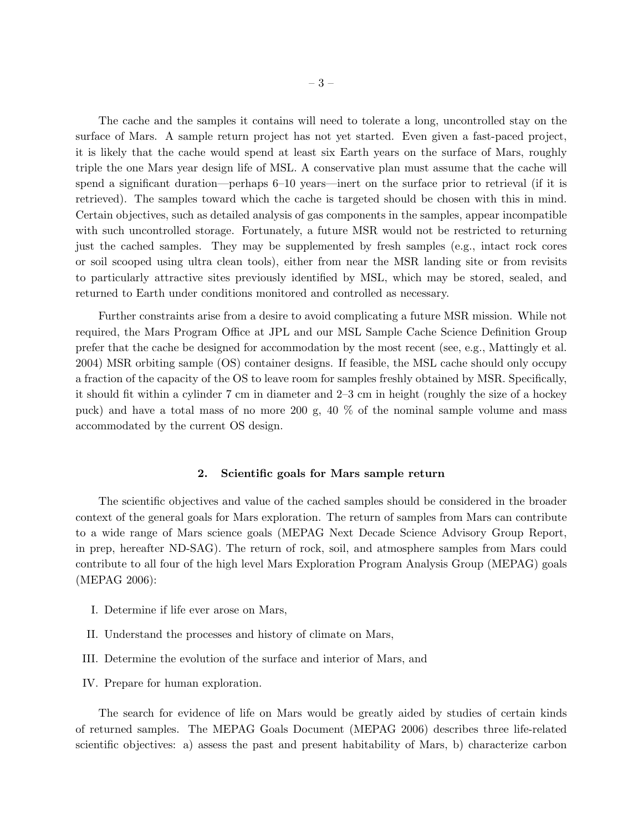The cache and the samples it contains will need to tolerate a long, uncontrolled stay on the surface of Mars. A sample return project has not yet started. Even given a fast-paced project, it is likely that the cache would spend at least six Earth years on the surface of Mars, roughly triple the one Mars year design life of MSL. A conservative plan must assume that the cache will spend a significant duration—perhaps 6–10 years—inert on the surface prior to retrieval (if it is retrieved). The samples toward which the cache is targeted should be chosen with this in mind. Certain objectives, such as detailed analysis of gas components in the samples, appear incompatible with such uncontrolled storage. Fortunately, a future MSR would not be restricted to returning just the cached samples. They may be supplemented by fresh samples (e.g., intact rock cores or soil scooped using ultra clean tools), either from near the MSR landing site or from revisits to particularly attractive sites previously identified by MSL, which may be stored, sealed, and returned to Earth under conditions monitored and controlled as necessary.

Further constraints arise from a desire to avoid complicating a future MSR mission. While not required, the Mars Program Office at JPL and our MSL Sample Cache Science Definition Group prefer that the cache be designed for accommodation by the most recent (see, e.g., Mattingly et al. 2004) MSR orbiting sample (OS) container designs. If feasible, the MSL cache should only occupy a fraction of the capacity of the OS to leave room for samples freshly obtained by MSR. Specifically, it should fit within a cylinder 7 cm in diameter and 2–3 cm in height (roughly the size of a hockey puck) and have a total mass of no more 200 g, 40 % of the nominal sample volume and mass accommodated by the current OS design.

#### 2. Scientific goals for Mars sample return

The scientific objectives and value of the cached samples should be considered in the broader context of the general goals for Mars exploration. The return of samples from Mars can contribute to a wide range of Mars science goals (MEPAG Next Decade Science Advisory Group Report, in prep, hereafter ND-SAG). The return of rock, soil, and atmosphere samples from Mars could contribute to all four of the high level Mars Exploration Program Analysis Group (MEPAG) goals (MEPAG 2006):

- I. Determine if life ever arose on Mars,
- II. Understand the processes and history of climate on Mars,
- III. Determine the evolution of the surface and interior of Mars, and
- IV. Prepare for human exploration.

The search for evidence of life on Mars would be greatly aided by studies of certain kinds of returned samples. The MEPAG Goals Document (MEPAG 2006) describes three life-related scientific objectives: a) assess the past and present habitability of Mars, b) characterize carbon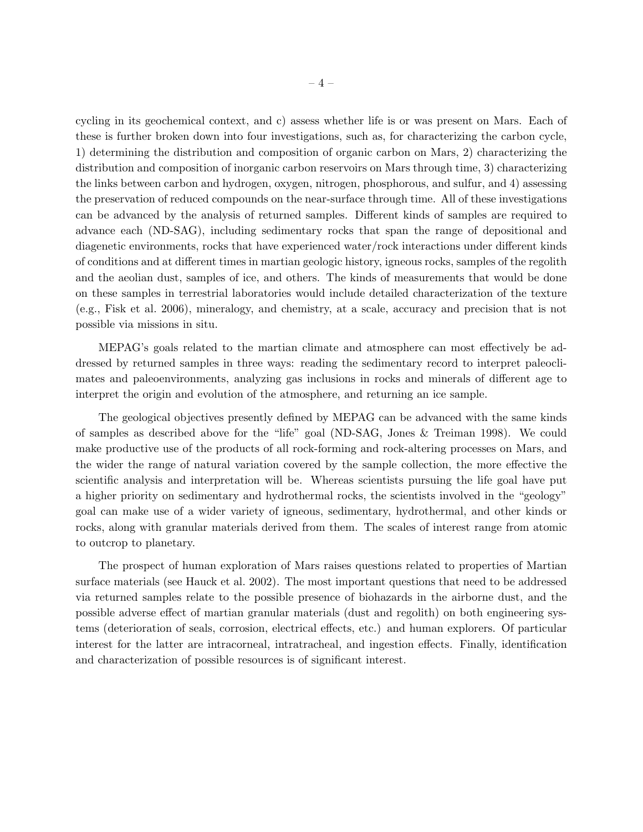cycling in its geochemical context, and c) assess whether life is or was present on Mars. Each of these is further broken down into four investigations, such as, for characterizing the carbon cycle, 1) determining the distribution and composition of organic carbon on Mars, 2) characterizing the distribution and composition of inorganic carbon reservoirs on Mars through time, 3) characterizing the links between carbon and hydrogen, oxygen, nitrogen, phosphorous, and sulfur, and 4) assessing the preservation of reduced compounds on the near-surface through time. All of these investigations can be advanced by the analysis of returned samples. Different kinds of samples are required to advance each (ND-SAG), including sedimentary rocks that span the range of depositional and diagenetic environments, rocks that have experienced water/rock interactions under different kinds of conditions and at different times in martian geologic history, igneous rocks, samples of the regolith and the aeolian dust, samples of ice, and others. The kinds of measurements that would be done on these samples in terrestrial laboratories would include detailed characterization of the texture (e.g., Fisk et al. 2006), mineralogy, and chemistry, at a scale, accuracy and precision that is not possible via missions in situ.

MEPAG's goals related to the martian climate and atmosphere can most effectively be addressed by returned samples in three ways: reading the sedimentary record to interpret paleoclimates and paleoenvironments, analyzing gas inclusions in rocks and minerals of different age to interpret the origin and evolution of the atmosphere, and returning an ice sample.

The geological objectives presently defined by MEPAG can be advanced with the same kinds of samples as described above for the "life" goal (ND-SAG, Jones & Treiman 1998). We could make productive use of the products of all rock-forming and rock-altering processes on Mars, and the wider the range of natural variation covered by the sample collection, the more effective the scientific analysis and interpretation will be. Whereas scientists pursuing the life goal have put a higher priority on sedimentary and hydrothermal rocks, the scientists involved in the "geology" goal can make use of a wider variety of igneous, sedimentary, hydrothermal, and other kinds or rocks, along with granular materials derived from them. The scales of interest range from atomic to outcrop to planetary.

The prospect of human exploration of Mars raises questions related to properties of Martian surface materials (see Hauck et al. 2002). The most important questions that need to be addressed via returned samples relate to the possible presence of biohazards in the airborne dust, and the possible adverse effect of martian granular materials (dust and regolith) on both engineering systems (deterioration of seals, corrosion, electrical effects, etc.) and human explorers. Of particular interest for the latter are intracorneal, intratracheal, and ingestion effects. Finally, identification and characterization of possible resources is of significant interest.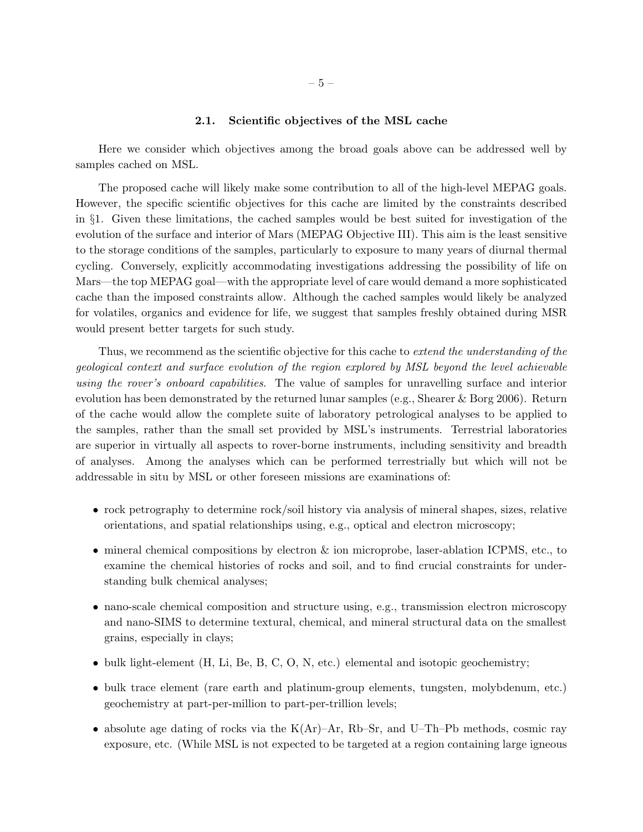#### 2.1. Scientific objectives of the MSL cache

Here we consider which objectives among the broad goals above can be addressed well by samples cached on MSL.

The proposed cache will likely make some contribution to all of the high-level MEPAG goals. However, the specific scientific objectives for this cache are limited by the constraints described in §1. Given these limitations, the cached samples would be best suited for investigation of the evolution of the surface and interior of Mars (MEPAG Objective III). This aim is the least sensitive to the storage conditions of the samples, particularly to exposure to many years of diurnal thermal cycling. Conversely, explicitly accommodating investigations addressing the possibility of life on Mars—the top MEPAG goal—with the appropriate level of care would demand a more sophisticated cache than the imposed constraints allow. Although the cached samples would likely be analyzed for volatiles, organics and evidence for life, we suggest that samples freshly obtained during MSR would present better targets for such study.

Thus, we recommend as the scientific objective for this cache to extend the understanding of the geological context and surface evolution of the region explored by MSL beyond the level achievable using the rover's onboard capabilities. The value of samples for unravelling surface and interior evolution has been demonstrated by the returned lunar samples (e.g., Shearer & Borg 2006). Return of the cache would allow the complete suite of laboratory petrological analyses to be applied to the samples, rather than the small set provided by MSL's instruments. Terrestrial laboratories are superior in virtually all aspects to rover-borne instruments, including sensitivity and breadth of analyses. Among the analyses which can be performed terrestrially but which will not be addressable in situ by MSL or other foreseen missions are examinations of:

- rock petrography to determine rock/soil history via analysis of mineral shapes, sizes, relative orientations, and spatial relationships using, e.g., optical and electron microscopy;
- mineral chemical compositions by electron  $\&$  ion microprobe, laser-ablation ICPMS, etc., to examine the chemical histories of rocks and soil, and to find crucial constraints for understanding bulk chemical analyses;
- nano-scale chemical composition and structure using, e.g., transmission electron microscopy and nano-SIMS to determine textural, chemical, and mineral structural data on the smallest grains, especially in clays;
- bulk light-element  $(H, Li, Be, B, C, O, N, etc.)$  elemental and isotopic geochemistry;
- bulk trace element (rare earth and platinum-group elements, tungsten, molybdenum, etc.) geochemistry at part-per-million to part-per-trillion levels;
- absolute age dating of rocks via the  $K(\text{Ar})$ –Ar, Rb–Sr, and U–Th–Pb methods, cosmic ray exposure, etc. (While MSL is not expected to be targeted at a region containing large igneous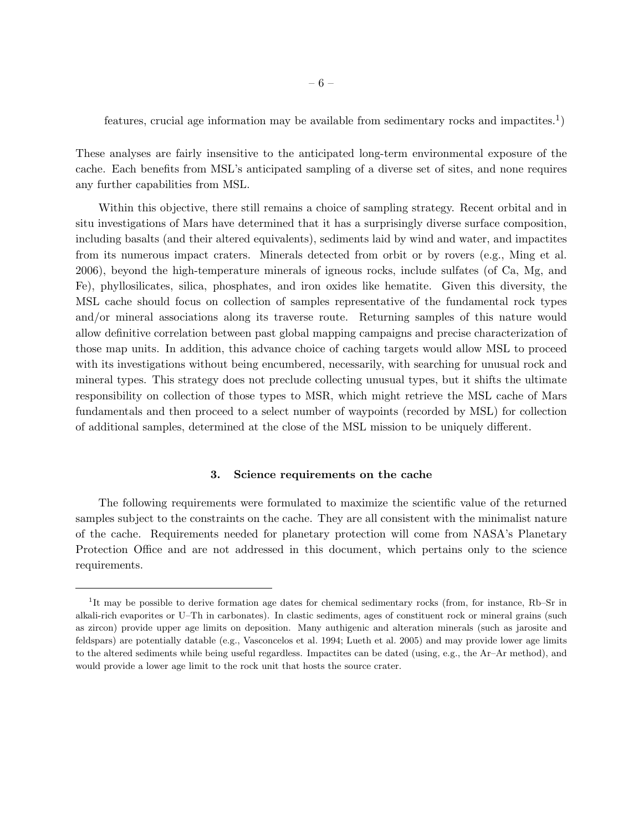features, crucial age information may be available from sedimentary rocks and impactites.<sup>1</sup>)

These analyses are fairly insensitive to the anticipated long-term environmental exposure of the cache. Each benefits from MSL's anticipated sampling of a diverse set of sites, and none requires any further capabilities from MSL.

Within this objective, there still remains a choice of sampling strategy. Recent orbital and in situ investigations of Mars have determined that it has a surprisingly diverse surface composition, including basalts (and their altered equivalents), sediments laid by wind and water, and impactites from its numerous impact craters. Minerals detected from orbit or by rovers (e.g., Ming et al. 2006), beyond the high-temperature minerals of igneous rocks, include sulfates (of Ca, Mg, and Fe), phyllosilicates, silica, phosphates, and iron oxides like hematite. Given this diversity, the MSL cache should focus on collection of samples representative of the fundamental rock types and/or mineral associations along its traverse route. Returning samples of this nature would allow definitive correlation between past global mapping campaigns and precise characterization of those map units. In addition, this advance choice of caching targets would allow MSL to proceed with its investigations without being encumbered, necessarily, with searching for unusual rock and mineral types. This strategy does not preclude collecting unusual types, but it shifts the ultimate responsibility on collection of those types to MSR, which might retrieve the MSL cache of Mars fundamentals and then proceed to a select number of waypoints (recorded by MSL) for collection of additional samples, determined at the close of the MSL mission to be uniquely different.

#### 3. Science requirements on the cache

The following requirements were formulated to maximize the scientific value of the returned samples subject to the constraints on the cache. They are all consistent with the minimalist nature of the cache. Requirements needed for planetary protection will come from NASA's Planetary Protection Office and are not addressed in this document, which pertains only to the science requirements.

<sup>&</sup>lt;sup>1</sup>It may be possible to derive formation age dates for chemical sedimentary rocks (from, for instance, Rb–Sr in alkali-rich evaporites or U–Th in carbonates). In clastic sediments, ages of constituent rock or mineral grains (such as zircon) provide upper age limits on deposition. Many authigenic and alteration minerals (such as jarosite and feldspars) are potentially datable (e.g., Vasconcelos et al. 1994; Lueth et al. 2005) and may provide lower age limits to the altered sediments while being useful regardless. Impactites can be dated (using, e.g., the Ar–Ar method), and would provide a lower age limit to the rock unit that hosts the source crater.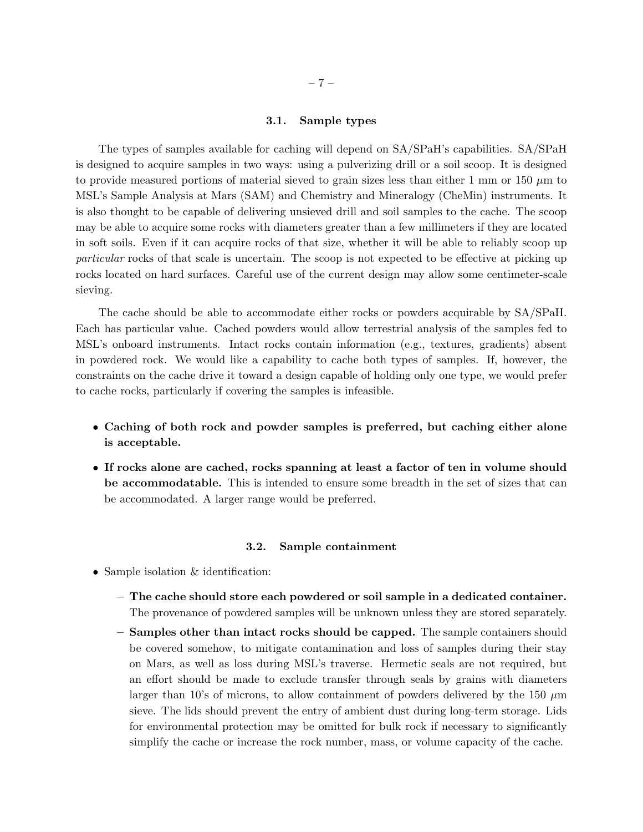#### 3.1. Sample types

The types of samples available for caching will depend on SA/SPaH's capabilities. SA/SPaH is designed to acquire samples in two ways: using a pulverizing drill or a soil scoop. It is designed to provide measured portions of material sieved to grain sizes less than either 1 mm or 150  $\mu$ m to MSL's Sample Analysis at Mars (SAM) and Chemistry and Mineralogy (CheMin) instruments. It is also thought to be capable of delivering unsieved drill and soil samples to the cache. The scoop may be able to acquire some rocks with diameters greater than a few millimeters if they are located in soft soils. Even if it can acquire rocks of that size, whether it will be able to reliably scoop up particular rocks of that scale is uncertain. The scoop is not expected to be effective at picking up rocks located on hard surfaces. Careful use of the current design may allow some centimeter-scale sieving.

The cache should be able to accommodate either rocks or powders acquirable by SA/SPaH. Each has particular value. Cached powders would allow terrestrial analysis of the samples fed to MSL's onboard instruments. Intact rocks contain information (e.g., textures, gradients) absent in powdered rock. We would like a capability to cache both types of samples. If, however, the constraints on the cache drive it toward a design capable of holding only one type, we would prefer to cache rocks, particularly if covering the samples is infeasible.

- Caching of both rock and powder samples is preferred, but caching either alone is acceptable.
- If rocks alone are cached, rocks spanning at least a factor of ten in volume should be accommodatable. This is intended to ensure some breadth in the set of sizes that can be accommodated. A larger range would be preferred.

#### 3.2. Sample containment

- Sample isolation & identification:
	- The cache should store each powdered or soil sample in a dedicated container. The provenance of powdered samples will be unknown unless they are stored separately.
	- Samples other than intact rocks should be capped. The sample containers should be covered somehow, to mitigate contamination and loss of samples during their stay on Mars, as well as loss during MSL's traverse. Hermetic seals are not required, but an effort should be made to exclude transfer through seals by grains with diameters larger than 10's of microns, to allow containment of powders delivered by the 150  $\mu$ m sieve. The lids should prevent the entry of ambient dust during long-term storage. Lids for environmental protection may be omitted for bulk rock if necessary to significantly simplify the cache or increase the rock number, mass, or volume capacity of the cache.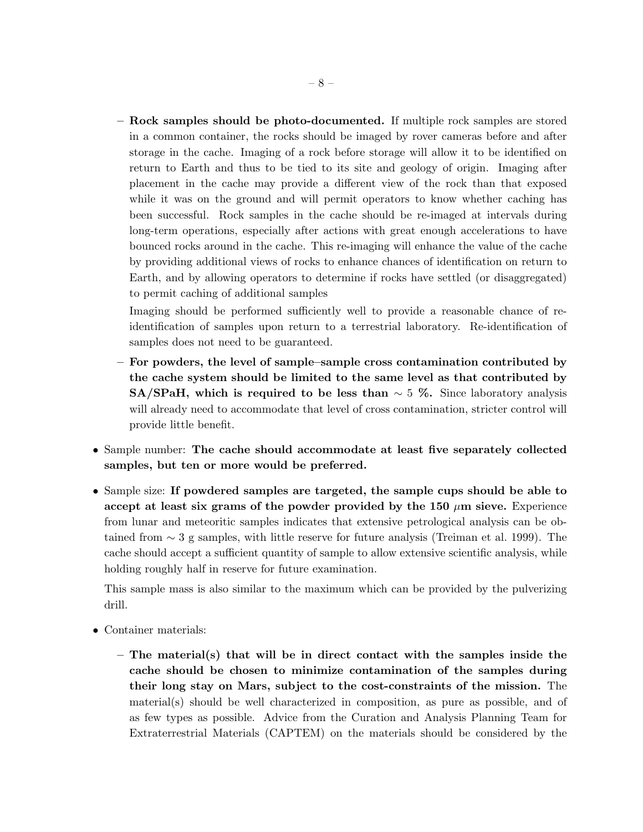– Rock samples should be photo-documented. If multiple rock samples are stored in a common container, the rocks should be imaged by rover cameras before and after storage in the cache. Imaging of a rock before storage will allow it to be identified on return to Earth and thus to be tied to its site and geology of origin. Imaging after placement in the cache may provide a different view of the rock than that exposed while it was on the ground and will permit operators to know whether caching has been successful. Rock samples in the cache should be re-imaged at intervals during long-term operations, especially after actions with great enough accelerations to have bounced rocks around in the cache. This re-imaging will enhance the value of the cache by providing additional views of rocks to enhance chances of identification on return to Earth, and by allowing operators to determine if rocks have settled (or disaggregated) to permit caching of additional samples

Imaging should be performed sufficiently well to provide a reasonable chance of reidentification of samples upon return to a terrestrial laboratory. Re-identification of samples does not need to be guaranteed.

- For powders, the level of sample–sample cross contamination contributed by the cache system should be limited to the same level as that contributed by SA/SPaH, which is required to be less than  $\sim$  5 %. Since laboratory analysis will already need to accommodate that level of cross contamination, stricter control will provide little benefit.
- Sample number: The cache should accommodate at least five separately collected samples, but ten or more would be preferred.
- Sample size: If powdered samples are targeted, the sample cups should be able to accept at least six grams of the powder provided by the 150  $\mu$ m sieve. Experience from lunar and meteoritic samples indicates that extensive petrological analysis can be obtained from ∼ 3 g samples, with little reserve for future analysis (Treiman et al. 1999). The cache should accept a sufficient quantity of sample to allow extensive scientific analysis, while holding roughly half in reserve for future examination.

This sample mass is also similar to the maximum which can be provided by the pulverizing drill.

- Container materials:
	- The material(s) that will be in direct contact with the samples inside the cache should be chosen to minimize contamination of the samples during their long stay on Mars, subject to the cost-constraints of the mission. The material(s) should be well characterized in composition, as pure as possible, and of as few types as possible. Advice from the Curation and Analysis Planning Team for Extraterrestrial Materials (CAPTEM) on the materials should be considered by the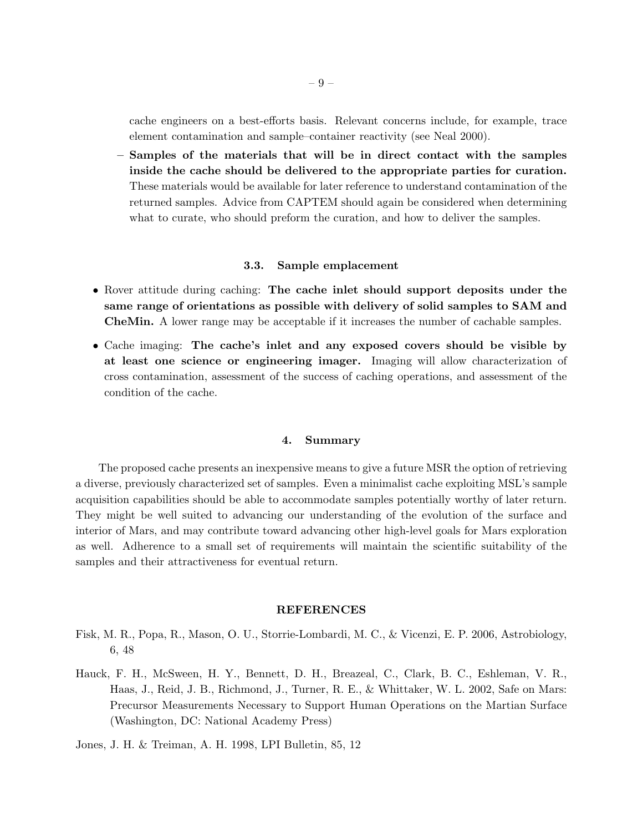cache engineers on a best-efforts basis. Relevant concerns include, for example, trace element contamination and sample–container reactivity (see Neal 2000).

– Samples of the materials that will be in direct contact with the samples inside the cache should be delivered to the appropriate parties for curation. These materials would be available for later reference to understand contamination of the returned samples. Advice from CAPTEM should again be considered when determining what to curate, who should preform the curation, and how to deliver the samples.

#### 3.3. Sample emplacement

- Rover attitude during caching: The cache inlet should support deposits under the same range of orientations as possible with delivery of solid samples to SAM and CheMin. A lower range may be acceptable if it increases the number of cachable samples.
- Cache imaging: The cache's inlet and any exposed covers should be visible by at least one science or engineering imager. Imaging will allow characterization of cross contamination, assessment of the success of caching operations, and assessment of the condition of the cache.

### 4. Summary

The proposed cache presents an inexpensive means to give a future MSR the option of retrieving a diverse, previously characterized set of samples. Even a minimalist cache exploiting MSL's sample acquisition capabilities should be able to accommodate samples potentially worthy of later return. They might be well suited to advancing our understanding of the evolution of the surface and interior of Mars, and may contribute toward advancing other high-level goals for Mars exploration as well. Adherence to a small set of requirements will maintain the scientific suitability of the samples and their attractiveness for eventual return.

#### REFERENCES

- Fisk, M. R., Popa, R., Mason, O. U., Storrie-Lombardi, M. C., & Vicenzi, E. P. 2006, Astrobiology, 6, 48
- Hauck, F. H., McSween, H. Y., Bennett, D. H., Breazeal, C., Clark, B. C., Eshleman, V. R., Haas, J., Reid, J. B., Richmond, J., Turner, R. E., & Whittaker, W. L. 2002, Safe on Mars: Precursor Measurements Necessary to Support Human Operations on the Martian Surface (Washington, DC: National Academy Press)

Jones, J. H. & Treiman, A. H. 1998, LPI Bulletin, 85, 12